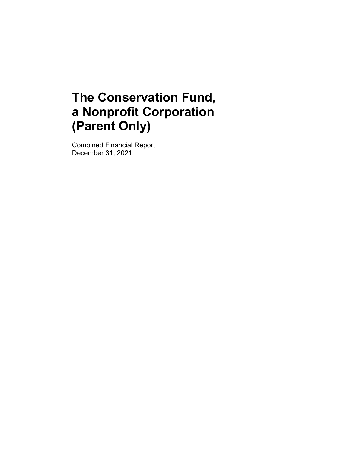Combined Financial Report December 31, 2021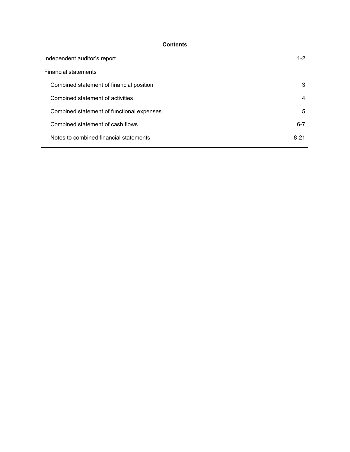# **Contents**

| Independent auditor's report              | $1 - 2$  |
|-------------------------------------------|----------|
| <b>Financial statements</b>               |          |
| Combined statement of financial position  | 3        |
| Combined statement of activities          | 4        |
| Combined statement of functional expenses | 5        |
| Combined statement of cash flows          | $6 - 7$  |
| Notes to combined financial statements    | $8 - 21$ |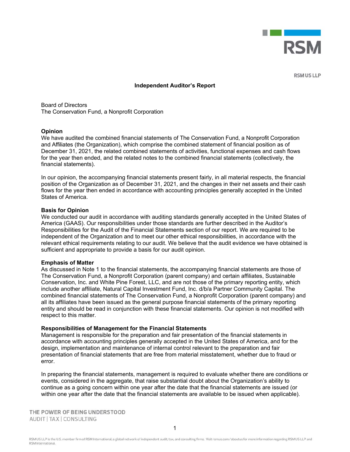

**RSM US LLP** 

#### **Independent Auditor's Report**

Board of Directors The Conservation Fund, a Nonprofit Corporation

#### **Opinion**

We have audited the combined financial statements of The Conservation Fund, a Nonprofit Corporation and Affiliates (the Organization), which comprise the combined statement of financial position as of December 31, 2021, the related combined statements of activities, functional expenses and cash flows for the year then ended, and the related notes to the combined financial statements (collectively, the financial statements).

In our opinion, the accompanying financial statements present fairly, in all material respects, the financial position of the Organization as of December 31, 2021, and the changes in their net assets and their cash flows for the year then ended in accordance with accounting principles generally accepted in the United States of America.

#### **Basis for Opinion**

We conducted our audit in accordance with auditing standards generally accepted in the United States of America (GAAS). Our responsibilities under those standards are further described in the Auditor's Responsibilities for the Audit of the Financial Statements section of our report. We are required to be independent of the Organization and to meet our other ethical responsibilities, in accordance with the relevant ethical requirements relating to our audit. We believe that the audit evidence we have obtained is sufficient and appropriate to provide a basis for our audit opinion.

#### **Emphasis of Matter**

As discussed in Note 1 to the financial statements, the accompanying financial statements are those of The Conservation Fund, a Nonprofit Corporation (parent company) and certain affiliates, Sustainable Conservation, Inc. and White Pine Forest, LLC, and are not those of the primary reporting entity, which include another affiliate, Natural Capital Investment Fund, Inc. d/b/a Partner Community Capital. The combined financial statements of The Conservation Fund, a Nonprofit Corporation (parent company) and all its affiliates have been issued as the general purpose financial statements of the primary reporting entity and should be read in conjunction with these financial statements. Our opinion is not modified with respect to this matter.

#### **Responsibilities of Management for the Financial Statements**

Management is responsible for the preparation and fair presentation of the financial statements in accordance with accounting principles generally accepted in the United States of America, and for the design, implementation and maintenance of internal control relevant to the preparation and fair presentation of financial statements that are free from material misstatement, whether due to fraud or error.

In preparing the financial statements, management is required to evaluate whether there are conditions or events, considered in the aggregate, that raise substantial doubt about the Organization's ability to continue as a going concern within one year after the date that the financial statements are issued (or within one year after the date that the financial statements are available to be issued when applicable).

THE POWER OF BEING UNDERSTOOD AUDIT | TAX | CONSULTING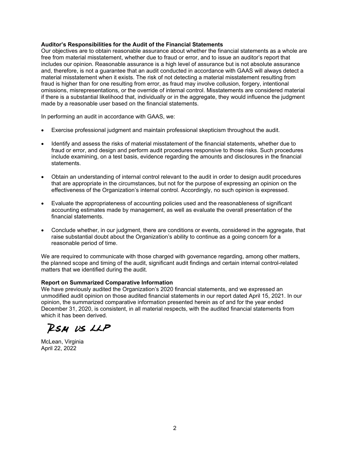#### **Auditor's Responsibilities for the Audit of the Financial Statements**

Our objectives are to obtain reasonable assurance about whether the financial statements as a whole are free from material misstatement, whether due to fraud or error, and to issue an auditor's report that includes our opinion. Reasonable assurance is a high level of assurance but is not absolute assurance and, therefore, is not a guarantee that an audit conducted in accordance with GAAS will always detect a material misstatement when it exists. The risk of not detecting a material misstatement resulting from fraud is higher than for one resulting from error, as fraud may involve collusion, forgery, intentional omissions, misrepresentations, or the override of internal control. Misstatements are considered material if there is a substantial likelihood that, individually or in the aggregate, they would influence the judgment made by a reasonable user based on the financial statements.

In performing an audit in accordance with GAAS, we:

- Exercise professional judgment and maintain professional skepticism throughout the audit.
- Identify and assess the risks of material misstatement of the financial statements, whether due to fraud or error, and design and perform audit procedures responsive to those risks. Such procedures include examining, on a test basis, evidence regarding the amounts and disclosures in the financial statements.
- Obtain an understanding of internal control relevant to the audit in order to design audit procedures that are appropriate in the circumstances, but not for the purpose of expressing an opinion on the effectiveness of the Organization's internal control. Accordingly, no such opinion is expressed.
- Evaluate the appropriateness of accounting policies used and the reasonableness of significant accounting estimates made by management, as well as evaluate the overall presentation of the financial statements.
- Conclude whether, in our judgment, there are conditions or events, considered in the aggregate, that raise substantial doubt about the Organization's ability to continue as a going concern for a reasonable period of time.

We are required to communicate with those charged with governance regarding, among other matters, the planned scope and timing of the audit, significant audit findings and certain internal control-related matters that we identified during the audit.

#### **Report on Summarized Comparative Information**

We have previously audited the Organization's 2020 financial statements, and we expressed an unmodified audit opinion on those audited financial statements in our report dated April 15, 2021. In our opinion, the summarized comparative information presented herein as of and for the year ended December 31, 2020, is consistent, in all material respects, with the audited financial statements from which it has been derived.

**RSM US LLP** 

McLean, Virginia April 22, 2022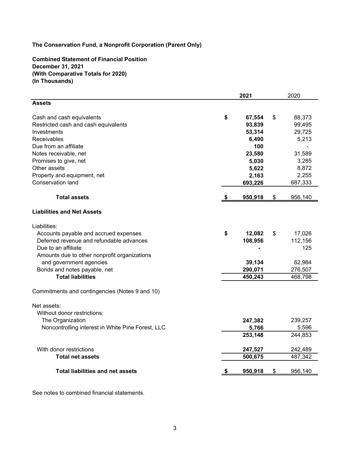**Combined Statement of Financial Position December 31, 2021 (With Comparative Totals for 2020) (In Thousands)**

|                                                   |    | 2021    | 2020          |
|---------------------------------------------------|----|---------|---------------|
| <b>Assets</b>                                     |    |         |               |
| Cash and cash equivalents                         | \$ | 67,554  | \$<br>88,373  |
| Restricted cash and cash equivalents              |    | 93,839  | 99,495        |
| Investments                                       |    | 53,314  | 29,725        |
| Receivables                                       |    | 6,490   | 5,213         |
| Due from an affiliate                             |    | 100     |               |
| Notes receivable, net                             |    | 23,580  | 31,589        |
| Promises to give, net                             |    | 5,030   | 3,285         |
| Other assets                                      |    | 5,622   | 8,872         |
| Property and equipment, net                       |    | 2,163   | 2,255         |
| Conservation land                                 |    | 693,226 | 687,333       |
| <b>Total assets</b>                               | 5  | 950,918 | \$<br>956,140 |
| <b>Liabilities and Net Assets</b>                 |    |         |               |
| Liabilities:                                      |    |         |               |
| Accounts payable and accrued expenses             | \$ | 12,082  | \$<br>17,026  |
| Deferred revenue and refundable advances          |    | 108,956 | 112,156       |
| Due to an affiliate                               |    |         | 125           |
| Amounts due to other nonprofit organizations      |    |         |               |
| and government agencies                           |    | 39,134  | 62,984        |
| Bonds and notes payable, net                      |    | 290,071 | 276,507       |
| <b>Total liabilities</b>                          |    | 450,243 | 468,798       |
| Commitments and contingencies (Notes 9 and 10)    |    |         |               |
| Net assets:                                       |    |         |               |
| Without donor restrictions:                       |    |         |               |
| The Organization                                  |    | 247,382 | 239,257       |
| Noncontrolling interest in White Pine Forest, LLC |    | 5,766   | 5,596         |
|                                                   |    | 253,148 | 244,853       |
| With donor restrictions                           |    | 247,527 | 242,489       |
| <b>Total net assets</b>                           |    | 500,675 | 487,342       |
| <b>Total liabilities and net assets</b>           | \$ | 950,918 | \$<br>956,140 |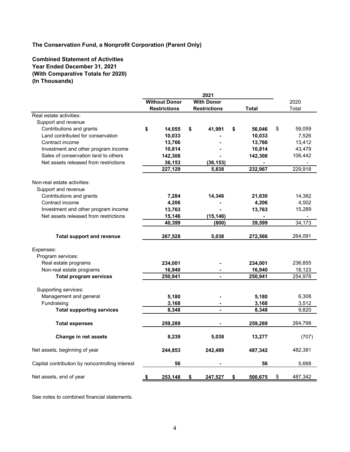# **Combined Statement of Activities Year Ended December 31, 2021 (With Comparative Totals for 2020) (In Thousands)**

|                                                 |                      |                                     | 2021              |                |                          |
|-------------------------------------------------|----------------------|-------------------------------------|-------------------|----------------|--------------------------|
|                                                 | <b>Without Donor</b> |                                     | <b>With Donor</b> |                | 2020                     |
|                                                 | <b>Restrictions</b>  | <b>Restrictions</b><br><b>Total</b> |                   | Total          |                          |
| Real estate activities:                         |                      |                                     |                   |                |                          |
| Support and revenue                             |                      |                                     |                   |                |                          |
| Contributions and grants                        | \$<br>14,055         | \$                                  | 41,991            | \$<br>56,046   | \$<br>59,059             |
| Land contributed for conservation               | 10,033               |                                     |                   | 10,033         | 7,526                    |
| Contract income                                 | 13,766               |                                     |                   | 13,766         | 13,412                   |
| Investment and other program income             | 10,814               |                                     |                   | 10,814         | 43,479                   |
| Sales of conservation land to others            | 142,308              |                                     |                   | 142,308        | 106,442                  |
| Net assets released from restrictions           | 36,153               |                                     | (36, 153)         |                |                          |
|                                                 | 227,129              |                                     | 5,838             | 232,967        | 229,918                  |
| Non-real estate activities:                     |                      |                                     |                   |                |                          |
| Support and revenue                             |                      |                                     |                   |                |                          |
| Contributions and grants                        | 7,284                |                                     | 14,346            | 21,630         | 14,382                   |
| Contract income                                 | 4,206                |                                     |                   | 4,206          | 4,502                    |
| Investment and other program income             | 13,763               |                                     |                   | 13,763         | 15,289                   |
| Net assets released from restrictions           | 15,146               |                                     | (15, 146)         | $\blacksquare$ | $\overline{\phantom{a}}$ |
|                                                 | 40,399               |                                     | (800)             | 39,599         | 34,173                   |
|                                                 |                      |                                     |                   |                |                          |
| <b>Total support and revenue</b>                | 267,528              |                                     | 5,038             | 272,566        | 264,091                  |
| Expenses:                                       |                      |                                     |                   |                |                          |
| Program services:                               |                      |                                     |                   |                |                          |
| Real estate programs                            | 234,001              |                                     |                   | 234,001        | 236,855                  |
| Non-real estate programs                        | 16,940               |                                     |                   | 16,940         | 18,123                   |
| <b>Total program services</b>                   | 250,941              |                                     |                   | 250,941        | 254,978                  |
| Supporting services:                            |                      |                                     |                   |                |                          |
| Management and general                          | 5,180                |                                     |                   | 5,180          | 6,308                    |
| Fundraising                                     | 3,168                |                                     |                   | 3,168          | 3,512                    |
| <b>Total supporting services</b>                | 8,348                |                                     | $\blacksquare$    | 8,348          | 9,820                    |
|                                                 |                      |                                     |                   |                |                          |
| <b>Total expenses</b>                           | 259,289              |                                     |                   | 259,289        | 264,798                  |
| Change in net assets                            | 8,239                |                                     | 5,038             | 13,277         | (707)                    |
|                                                 |                      |                                     |                   |                |                          |
| Net assets, beginning of year                   | 244,853              |                                     | 242,489           | 487,342        | 482,381                  |
| Capital contribution by noncontrolling interest | 56                   |                                     |                   | 56             | 5,668                    |
| Net assets, end of year                         | \$<br>253,148        | \$                                  | 247,527           | \$<br>500,675  | \$<br>487,342            |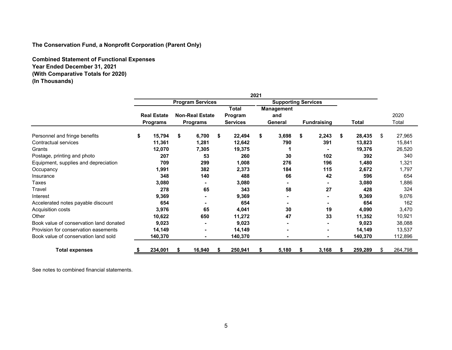**Combined Statement of Functional Expenses Year Ended December 31, 2021 (With Comparative Totals for 2020) (In Thousands)**

|                                         |                    |                         |                            |                 | 2021 |                          |    |                    |    |         |              |
|-----------------------------------------|--------------------|-------------------------|----------------------------|-----------------|------|--------------------------|----|--------------------|----|---------|--------------|
|                                         |                    | <b>Program Services</b> | <b>Supporting Services</b> |                 |      |                          |    |                    |    |         |              |
|                                         |                    |                         |                            | Total           |      | <b>Management</b>        |    |                    |    |         |              |
|                                         | <b>Real Estate</b> | <b>Non-Real Estate</b>  |                            | Program         |      | and                      |    |                    |    |         | 2020         |
|                                         | <b>Programs</b>    | <b>Programs</b>         |                            | <b>Services</b> |      | General                  |    | <b>Fundraising</b> |    | Total   | Total        |
| Personnel and fringe benefits           | \$<br>15,794       | \$<br>6,700             | \$                         | 22,494          | \$   | 3,698                    | \$ | 2,243              | S. | 28,435  | \$<br>27,965 |
| Contractual services                    | 11,361             | 1,281                   |                            | 12,642          |      | 790                      |    | 391                |    | 13,823  | 15,841       |
| Grants                                  | 12,070             | 7,305                   |                            | 19,375          |      |                          |    |                    |    | 19,376  | 26,520       |
| Postage, printing and photo             | 207                | 53                      |                            | 260             |      | 30                       |    | 102                |    | 392     | 340          |
| Equipment, supplies and depreciation    | 709                | 299                     |                            | 1,008           |      | 276                      |    | 196                |    | 1,480   | 1,321        |
| Occupancy                               | 1,991              | 382                     |                            | 2,373           |      | 184                      |    | 115                |    | 2,672   | 1,797        |
| Insurance                               | 348                | 140                     |                            | 488             |      | 66                       |    | 42                 |    | 596     | 654          |
| Taxes                                   | 3,080              |                         |                            | 3,080           |      |                          |    |                    |    | 3,080   | 1,886        |
| Travel                                  | 278                | 65                      |                            | 343             |      | 58                       |    | 27                 |    | 428     | 324          |
| Interest                                | 9,369              |                         |                            | 9,369           |      |                          |    |                    |    | 9,369   | 9,076        |
| Accelerated notes payable discount      | 654                |                         |                            | 654             |      |                          |    |                    |    | 654     | 162          |
| Acquisition costs                       | 3,976              | 65                      |                            | 4,041           |      | 30                       |    | 19                 |    | 4,090   | 3,470        |
| Other                                   | 10,622             | 650                     |                            | 11,272          |      | 47                       |    | 33                 |    | 11,352  | 10,921       |
| Book value of conservation land donated | 9,023              |                         |                            | 9,023           |      |                          |    |                    |    | 9,023   | 38,088       |
| Provision for conservation easements    | 14,149             |                         |                            | 14,149          |      | $\overline{\phantom{0}}$ |    |                    |    | 14,149  | 13,537       |
| Book value of conservation land sold    | 140,370            |                         |                            | 140,370         |      | $\overline{\phantom{0}}$ |    |                    |    | 140,370 | 112,896      |
| <b>Total expenses</b>                   | 234,001            | 16,940                  |                            | 250,941         |      | 5,180                    |    | 3,168              |    | 259,289 | 264,798      |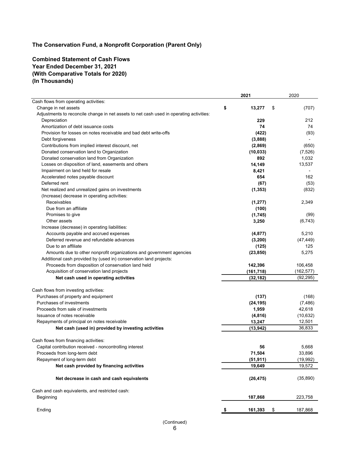# **Combined Statement of Cash Flows Year Ended December 31, 2021 (With Comparative Totals for 2020) (In Thousands)**

|                                                                                                    | 2021         | 2020           |
|----------------------------------------------------------------------------------------------------|--------------|----------------|
| Cash flows from operating activities:                                                              |              |                |
| Change in net assets                                                                               | \$<br>13,277 | \$<br>(707)    |
| Adjustments to reconcile change in net assets to net cash used in operating activities:            |              |                |
| Depreciation                                                                                       | 229          | 212            |
| Amortization of debt issuance costs                                                                | 74           | 74             |
| Provision for losses on notes receivable and bad debt write-offs                                   | (422)        | (93)           |
| Debt forgiveness                                                                                   | (3,888)      |                |
| Contributions from implied interest discount, net                                                  | (2,869)      | (650)          |
| Donated conservation land to Organization                                                          | (10, 033)    | (7, 526)       |
| Donated conservation land from Organization                                                        | 892          | 1,032          |
| Losses on disposition of land, easements and others                                                | 14,149       | 13,537         |
| Impairment on land held for resale                                                                 | 8,421        | $\blacksquare$ |
| Accelerated notes payable discount                                                                 | 654          | 162            |
| Deferred rent                                                                                      | (67)         | (53)           |
| Net realized and unrealized gains on investments                                                   | (1, 353)     | (832)          |
| (Increase) decrease in operating activities:                                                       |              |                |
| <b>Receivables</b>                                                                                 | (1, 277)     | 2,349          |
| Due from an affiliate                                                                              | (100)        |                |
| Promises to give                                                                                   | (1,745)      | (99)           |
| Other assets                                                                                       | 3,250        | (6, 743)       |
| Increase (decrease) in operating liabilities:                                                      |              |                |
| Accounts payable and accrued expenses                                                              |              | 5,210          |
| Deferred revenue and refundable advances                                                           | (4, 877)     | (47, 449)      |
| Due to an affiliate                                                                                | (3,200)      | 125            |
|                                                                                                    | (125)        |                |
| Amounts due to other nonprofit organizations and government agencies                               | (23, 850)    | 5,275          |
| Additional cash provided by (used in) conservation land projects:                                  |              |                |
| Proceeds from disposition of conservation land held                                                | 142,396      | 106,458        |
| Acquisition of conservation land projects                                                          | (161, 718)   | (162, 577)     |
| Net cash used in operating activities                                                              | (32, 182)    | (92, 295)      |
| Cash flows from investing activities:                                                              |              |                |
| Purchases of property and equipment                                                                | (137)        | (168)          |
| Purchases of investments                                                                           | (24, 195)    | (7, 486)       |
| Proceeds from sale of investments                                                                  | 1,959        | 42,618         |
| Issuance of notes receivable                                                                       | (4, 816)     | (10, 632)      |
|                                                                                                    | 13,247       | 12,501         |
| Repayments of principal on notes receivable<br>Net cash (used in) provided by investing activities | (13, 942)    | 36,833         |
|                                                                                                    |              |                |
| Cash flows from financing activities:                                                              |              |                |
| Capital contribution received - noncontrolling interest                                            | 56           | 5,668          |
| Proceeds from long-term debt                                                                       | 71,504       | 33,896         |
| Repayment of long-term debt                                                                        | (51, 911)    | (19, 992)      |
| Net cash provided by financing activities                                                          | 19,649       | 19,572         |
|                                                                                                    |              |                |
| Net decrease in cash and cash equivalents                                                          | (26, 475)    | (35, 890)      |
| Cash and cash equivalents, and restricted cash:                                                    |              |                |
| Beginning                                                                                          | 187,868      | 223,758        |
|                                                                                                    |              |                |
| Ending                                                                                             | 161,393      | \$<br>187,868  |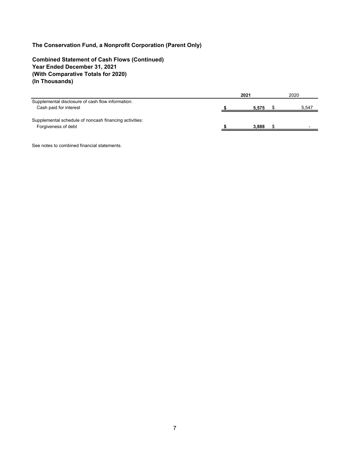**Combined Statement of Cash Flows (Continued) Year Ended December 31, 2021 (With Comparative Totals for 2020) (In Thousands)**

|                                                                               | 2021  | 2020  |
|-------------------------------------------------------------------------------|-------|-------|
| Supplemental disclosure of cash flow information:                             |       |       |
| Cash paid for interest                                                        | 5.575 | 5,547 |
| Supplemental schedule of noncash financing activities:<br>Forgiveness of debt | 3.888 |       |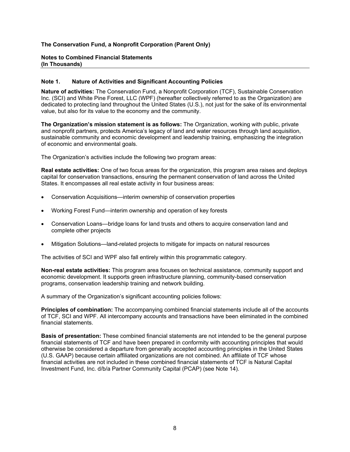#### **Notes to Combined Financial Statements (In Thousands)**

#### **Note 1. Nature of Activities and Significant Accounting Policies**

**Nature of activities:** The Conservation Fund, a Nonprofit Corporation (TCF), Sustainable Conservation Inc. (SCI) and White Pine Forest, LLC (WPF) (hereafter collectively referred to as the Organization) are dedicated to protecting land throughout the United States (U.S.), not just for the sake of its environmental value, but also for its value to the economy and the community.

**The Organization's mission statement is as follows:** The Organization, working with public, private and nonprofit partners, protects America's legacy of land and water resources through land acquisition, sustainable community and economic development and leadership training, emphasizing the integration of economic and environmental goals.

The Organization's activities include the following two program areas:

**Real estate activities:** One of two focus areas for the organization, this program area raises and deploys capital for conservation transactions, ensuring the permanent conservation of land across the United States. It encompasses all real estate activity in four business areas:

- Conservation Acquisitions—interim ownership of conservation properties
- Working Forest Fund—interim ownership and operation of key forests
- Conservation Loans—bridge loans for land trusts and others to acquire conservation land and complete other projects
- Mitigation Solutions—land-related projects to mitigate for impacts on natural resources

The activities of SCI and WPF also fall entirely within this programmatic category.

**Non-real estate activities:** This program area focuses on technical assistance, community support and economic development. It supports green infrastructure planning, community-based conservation programs, conservation leadership training and network building.

A summary of the Organization's significant accounting policies follows:

**Principles of combination:** The accompanying combined financial statements include all of the accounts of TCF, SCI and WPF. All intercompany accounts and transactions have been eliminated in the combined financial statements.

**Basis of presentation:** These combined financial statements are not intended to be the general purpose financial statements of TCF and have been prepared in conformity with accounting principles that would otherwise be considered a departure from generally accepted accounting principles in the United States (U.S. GAAP) because certain affiliated organizations are not combined. An affiliate of TCF whose financial activities are not included in these combined financial statements of TCF is Natural Capital Investment Fund, Inc. d/b/a Partner Community Capital (PCAP) (see Note 14).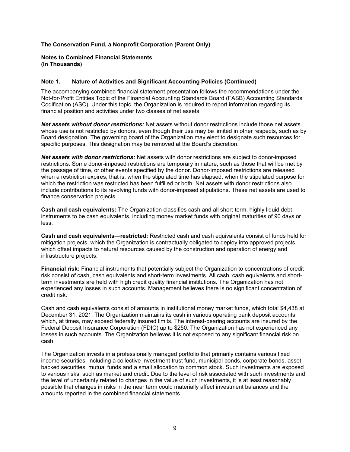#### **Notes to Combined Financial Statements (In Thousands)**

#### **Note 1. Nature of Activities and Significant Accounting Policies (Continued)**

The accompanying combined financial statement presentation follows the recommendations under the Not-for-Profit Entities Topic of the Financial Accounting Standards Board (FASB) Accounting Standards Codification (ASC). Under this topic, the Organization is required to report information regarding its financial position and activities under two classes of net assets:

*Net assets without donor restrictions:* Net assets without donor restrictions include those net assets whose use is not restricted by donors, even though their use may be limited in other respects, such as by Board designation. The governing board of the Organization may elect to designate such resources for specific purposes. This designation may be removed at the Board's discretion.

*Net assets with donor restrictions:* Net assets with donor restrictions are subject to donor-imposed restrictions. Some donor-imposed restrictions are temporary in nature, such as those that will be met by the passage of time, or other events specified by the donor. Donor-imposed restrictions are released when a restriction expires, that is, when the stipulated time has elapsed, when the stipulated purpose for which the restriction was restricted has been fulfilled or both. Net assets with donor restrictions also include contributions to its revolving funds with donor-imposed stipulations. These net assets are used to finance conservation projects.

**Cash and cash equivalents:** The Organization classifies cash and all short-term, highly liquid debt instruments to be cash equivalents, including money market funds with original maturities of 90 days or less.

**Cash and cash equivalents**—**restricted:** Restricted cash and cash equivalents consist of funds held for mitigation projects, which the Organization is contractually obligated to deploy into approved projects, which offset impacts to natural resources caused by the construction and operation of energy and infrastructure projects.

**Financial risk:** Financial instruments that potentially subject the Organization to concentrations of credit risk consist of cash, cash equivalents and short-term investments. All cash, cash equivalents and shortterm investments are held with high credit quality financial institutions. The Organization has not experienced any losses in such accounts. Management believes there is no significant concentration of credit risk.

Cash and cash equivalents consist of amounts in institutional money market funds, which total \$4,438 at December 31, 2021. The Organization maintains its cash in various operating bank deposit accounts which, at times, may exceed federally insured limits. The interest-bearing accounts are insured by the Federal Deposit Insurance Corporation (FDIC) up to \$250. The Organization has not experienced any losses in such accounts. The Organization believes it is not exposed to any significant financial risk on cash.

The Organization invests in a professionally managed portfolio that primarily contains various fixed income securities, including a collective investment trust fund, municipal bonds, corporate bonds, assetbacked securities, mutual funds and a small allocation to common stock. Such investments are exposed to various risks, such as market and credit. Due to the level of risk associated with such investments and the level of uncertainty related to changes in the value of such investments, it is at least reasonably possible that changes in risks in the near term could materially affect investment balances and the amounts reported in the combined financial statements.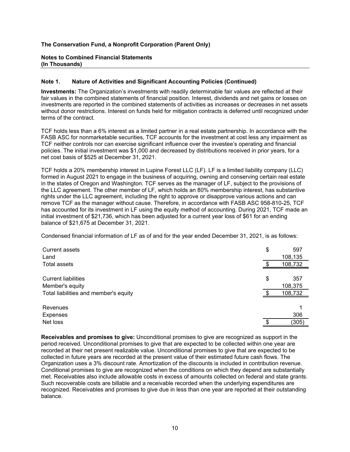#### **Notes to Combined Financial Statements (In Thousands)**

#### **Note 1. Nature of Activities and Significant Accounting Policies (Continued)**

**Investments:** The Organization's investments with readily determinable fair values are reflected at their fair values in the combined statements of financial position. Interest, dividends and net gains or losses on investments are reported in the combined statements of activities as increases or decreases in net assets without donor restrictions. Interest on funds held for mitigation contracts is deferred until recognized under terms of the contract.

TCF holds less than a 6% interest as a limited partner in a real estate partnership. In accordance with the FASB ASC for nonmarketable securities, TCF accounts for the investment at cost less any impairment as TCF neither controls nor can exercise significant influence over the investee's operating and financial policies. The initial investment was \$1,000 and decreased by distributions received in prior years, for a net cost basis of \$525 at December 31, 2021.

TCF holds a 20% membership interest in Lupine Forest LLC (LF). LF is a limited liability company (LLC) formed in August 2021 to engage in the business of acquiring, owning and conserving certain real estate in the states of Oregon and Washington. TCF serves as the manager of LF, subject to the provisions of the LLC agreement. The other member of LF, which holds an 80% membership interest, has substantive rights under the LLC agreement, including the right to approve or disapprove various actions and can remove TCF as the manager without cause. Therefore, in accordance with FASB ASC 958-810-25, TCF has accounted for its investment in LF using the equity method of accounting. During 2021, TCF made an initial investment of \$21,736, which has been adjusted for a current year loss of \$61 for an ending balance of \$21,675 at December 31, 2021.

Condensed financial information of LF as of and for the year ended December 31, 2021, is as follows:

| <b>Current assets</b>                 | \$<br>597 |
|---------------------------------------|-----------|
| Land                                  | 108,135   |
| Total assets                          | 108,732   |
|                                       |           |
| <b>Current liabilities</b>            | \$<br>357 |
| Member's equity                       | 108,375   |
| Total liabilities and member's equity | 108,732   |
|                                       |           |
| Revenues                              |           |
| <b>Expenses</b>                       | 306       |
| Net loss                              | (305)     |

**Receivables and promises to give:** Unconditional promises to give are recognized as support in the period received. Unconditional promises to give that are expected to be collected within one year are recorded at their net present realizable value. Unconditional promises to give that are expected to be collected in future years are recorded at the present value of their estimated future cash flows. The Organization uses a 3% discount rate. Amortization of the discounts is included in contribution revenue. Conditional promises to give are recognized when the conditions on which they depend are substantially met. Receivables also include allowable costs in excess of amounts collected on federal and state grants. Such recoverable costs are billable and a receivable recorded when the underlying expenditures are recognized. Receivables and promises to give due in less than one year are reported at their outstanding balance.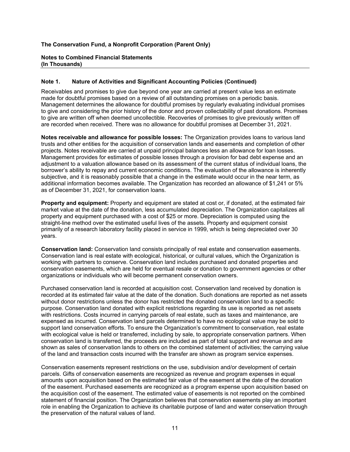#### **Notes to Combined Financial Statements (In Thousands)**

#### **Note 1. Nature of Activities and Significant Accounting Policies (Continued)**

Receivables and promises to give due beyond one year are carried at present value less an estimate made for doubtful promises based on a review of all outstanding promises on a periodic basis. Management determines the allowance for doubtful promises by regularly evaluating individual promises to give and considering the prior history of the donor and proven collectability of past donations. Promises to give are written off when deemed uncollectible. Recoveries of promises to give previously written off are recorded when received. There was no allowance for doubtful promises at December 31, 2021.

**Notes receivable and allowance for possible losses:** The Organization provides loans to various land trusts and other entities for the acquisition of conservation lands and easements and completion of other projects. Notes receivable are carried at unpaid principal balances less an allowance for loan losses. Management provides for estimates of possible losses through a provision for bad debt expense and an adjustment to a valuation allowance based on its assessment of the current status of individual loans, the borrower's ability to repay and current economic conditions. The evaluation of the allowance is inherently subjective, and it is reasonably possible that a change in the estimate would occur in the near term, as additional information becomes available. The Organization has recorded an allowance of \$1,241 or 5% as of December 31, 2021, for conservation loans.

**Property and equipment:** Property and equipment are stated at cost or, if donated, at the estimated fair market value at the date of the donation, less accumulated depreciation. The Organization capitalizes all property and equipment purchased with a cost of \$25 or more. Depreciation is computed using the straight-line method over the estimated useful lives of the assets. Property and equipment consist primarily of a research laboratory facility placed in service in 1999, which is being depreciated over 30 years.

**Conservation land:** Conservation land consists principally of real estate and conservation easements. Conservation land is real estate with ecological, historical, or cultural values, which the Organization is working with partners to conserve. Conservation land includes purchased and donated properties and conservation easements, which are held for eventual resale or donation to government agencies or other organizations or individuals who will become permanent conservation owners.

Purchased conservation land is recorded at acquisition cost. Conservation land received by donation is recorded at its estimated fair value at the date of the donation. Such donations are reported as net assets without donor restrictions unless the donor has restricted the donated conservation land to a specific purpose. Conservation land donated with explicit restrictions regarding its use is reported as net assets with restrictions. Costs incurred in carrying parcels of real estate, such as taxes and maintenance, are expensed as incurred. Conservation land parcels determined to have no ecological value may be sold to support land conservation efforts. To ensure the Organization's commitment to conservation, real estate with ecological value is held or transferred, including by sale, to appropriate conservation partners. When conservation land is transferred, the proceeds are included as part of total support and revenue and are shown as sales of conservation lands to others on the combined statement of activities; the carrying value of the land and transaction costs incurred with the transfer are shown as program service expenses.

Conservation easements represent restrictions on the use, subdivision and/or development of certain parcels. Gifts of conservation easements are recognized as revenue and program expenses in equal amounts upon acquisition based on the estimated fair value of the easement at the date of the donation of the easement. Purchased easements are recognized as a program expense upon acquisition based on the acquisition cost of the easement. The estimated value of easements is not reported on the combined statement of financial position. The Organization believes that conservation easements play an important role in enabling the Organization to achieve its charitable purpose of land and water conservation through the preservation of the natural values of land.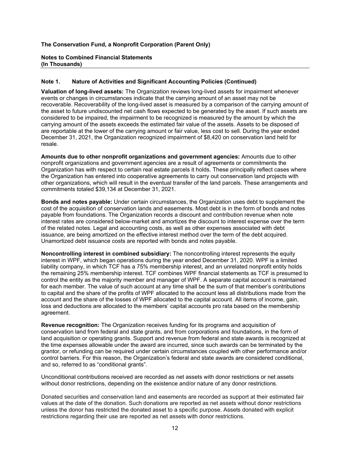#### **Notes to Combined Financial Statements (In Thousands)**

#### **Note 1. Nature of Activities and Significant Accounting Policies (Continued)**

**Valuation of long-lived assets:** The Organization reviews long-lived assets for impairment whenever events or changes in circumstances indicate that the carrying amount of an asset may not be recoverable. Recoverability of the long-lived asset is measured by a comparison of the carrying amount of the asset to future undiscounted net cash flows expected to be generated by the asset. If such assets are considered to be impaired, the impairment to be recognized is measured by the amount by which the carrying amount of the assets exceeds the estimated fair value of the assets. Assets to be disposed of are reportable at the lower of the carrying amount or fair value, less cost to sell. During the year ended December 31, 2021, the Organization recognized impairment of \$8,420 on conservation land held for resale.

**Amounts due to other nonprofit organizations and government agencies:** Amounts due to other nonprofit organizations and government agencies are a result of agreements or commitments the Organization has with respect to certain real estate parcels it holds. These principally reflect cases where the Organization has entered into cooperative agreements to carry out conservation land projects with other organizations, which will result in the eventual transfer of the land parcels. These arrangements and commitments totaled \$39,134 at December 31, 2021.

**Bonds and notes payable:** Under certain circumstances, the Organization uses debt to supplement the cost of the acquisition of conservation lands and easements. Most debt is in the form of bonds and notes payable from foundations. The Organization records a discount and contribution revenue when note interest rates are considered below-market and amortizes the discount to interest expense over the term of the related notes. Legal and accounting costs, as well as other expenses associated with debt issuance, are being amortized on the effective interest method over the term of the debt acquired. Unamortized debt issuance costs are reported with bonds and notes payable.

**Noncontrolling interest in combined subsidiary:** The noncontrolling interest represents the equity interest in WPF, which began operations during the year ended December 31, 2020. WPF is a limited liability company, in which TCF has a 75% membership interest, and an unrelated nonprofit entity holds the remaining 25% membership interest. TCF combines WPF financial statements as TCF is presumed to control the entity as the majority member and manager of WPF. A separate capital account is maintained for each member. The value of such account at any time shall be the sum of that member's contributions to capital and the share of the profits of WPF allocated to the account less all distributions made from the account and the share of the losses of WPF allocated to the capital account. All items of income, gain, loss and deductions are allocated to the members' capital accounts pro rata based on the membership agreement.

**Revenue recognition:** The Organization receives funding for its programs and acquisition of conservation land from federal and state grants, and from corporations and foundations, in the form of land acquisition or operating grants. Support and revenue from federal and state awards is recognized at the time expenses allowable under the award are incurred, since such awards can be terminated by the grantor, or refunding can be required under certain circumstances coupled with other performance and/or control barriers. For this reason, the Organization's federal and state awards are considered conditional, and so, referred to as "conditional grants".

Unconditional contributions received are recorded as net assets with donor restrictions or net assets without donor restrictions, depending on the existence and/or nature of any donor restrictions.

Donated securities and conservation land and easements are recorded as support at their estimated fair values at the date of the donation. Such donations are reported as net assets without donor restrictions unless the donor has restricted the donated asset to a specific purpose. Assets donated with explicit restrictions regarding their use are reported as net assets with donor restrictions.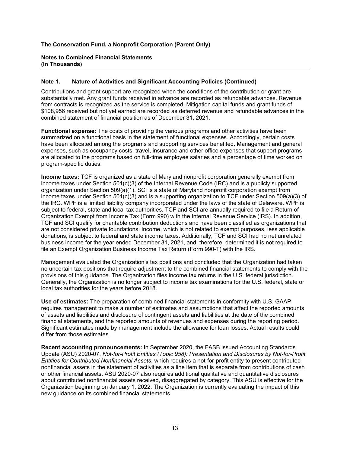#### **Notes to Combined Financial Statements (In Thousands)**

#### **Note 1. Nature of Activities and Significant Accounting Policies (Continued)**

Contributions and grant support are recognized when the conditions of the contribution or grant are substantially met. Any grant funds received in advance are recorded as refundable advances. Revenue from contracts is recognized as the service is completed. Mitigation capital funds and grant funds of \$108,956 received but not yet earned are recorded as deferred revenue and refundable advances in the combined statement of financial position as of December 31, 2021.

**Functional expense:** The costs of providing the various programs and other activities have been summarized on a functional basis in the statement of functional expenses. Accordingly, certain costs have been allocated among the programs and supporting services benefited. Management and general expenses, such as occupancy costs, travel, insurance and other office expenses that support programs are allocated to the programs based on full-time employee salaries and a percentage of time worked on program-specific duties.

**Income taxes:** TCF is organized as a state of Maryland nonprofit corporation generally exempt from income taxes under Section 501(c)(3) of the Internal Revenue Code (IRC) and is a publicly supported organization under Section 509(a)(1). SCI is a state of Maryland nonprofit corporation exempt from income taxes under Section 501(c)(3) and is a supporting organization to TCF under Section 509(a)(3) of the IRC. WPF is a limited liability company incorporated under the laws of the state of Delaware. WPF is subject to federal, state and local tax authorities. TCF and SCI are annually required to file a Return of Organization Exempt from Income Tax (Form 990) with the Internal Revenue Service (IRS). In addition, TCF and SCI qualify for charitable contribution deductions and have been classified as organizations that are not considered private foundations. Income, which is not related to exempt purposes, less applicable donations, is subject to federal and state income taxes. Additionally, TCF and SCI had no net unrelated business income for the year ended December 31, 2021, and, therefore, determined it is not required to file an Exempt Organization Business Income Tax Return (Form 990-T) with the IRS.

Management evaluated the Organization's tax positions and concluded that the Organization had taken no uncertain tax positions that require adjustment to the combined financial statements to comply with the provisions of this guidance. The Organization files income tax returns in the U.S. federal jurisdiction. Generally, the Organization is no longer subject to income tax examinations for the U.S. federal, state or local tax authorities for the years before 2018.

**Use of estimates:** The preparation of combined financial statements in conformity with U.S. GAAP requires management to make a number of estimates and assumptions that affect the reported amounts of assets and liabilities and disclosure of contingent assets and liabilities at the date of the combined financial statements, and the reported amounts of revenues and expenses during the reporting period. Significant estimates made by management include the allowance for loan losses. Actual results could differ from those estimates.

**Recent accounting pronouncements:** In September 2020, the FASB issued Accounting Standards Update (ASU) 2020-07, *Not-for-Profit Entities (Topic 958): Presentation and Disclosures by Not-for-Profit Entities for Contributed Nonfinancial Assets*, which requires a not-for-profit entity to present contributed nonfinancial assets in the statement of activities as a line item that is separate from contributions of cash or other financial assets. ASU 2020-07 also requires additional qualitative and quantitative disclosures about contributed nonfinancial assets received, disaggregated by category. This ASU is effective for the Organization beginning on January 1, 2022. The Organization is currently evaluating the impact of this new guidance on its combined financial statements.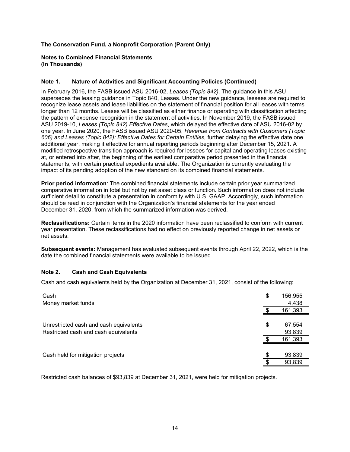#### **Notes to Combined Financial Statements (In Thousands)**

#### **Note 1. Nature of Activities and Significant Accounting Policies (Continued)**

In February 2016, the FASB issued ASU 2016-02, *Leases (Topic 842)*. The guidance in this ASU supersedes the leasing guidance in Topic 840, Leases. Under the new guidance, lessees are required to recognize lease assets and lease liabilities on the statement of financial position for all leases with terms longer than 12 months. Leases will be classified as either finance or operating with classification affecting the pattern of expense recognition in the statement of activities. In November 2019, the FASB issued ASU 2019-10, *Leases (Topic 842) Effective Dates*, which delayed the effective date of ASU 2016-02 by one year. In June 2020, the FASB issued ASU 2020-05, *Revenue from Contracts with Customers (Topic 606) and Leases (Topic 842): Effective Dates for Certain Entities,* further delaying the effective date one additional year, making it effective for annual reporting periods beginning after December 15, 2021. A modified retrospective transition approach is required for lessees for capital and operating leases existing at, or entered into after, the beginning of the earliest comparative period presented in the financial statements, with certain practical expedients available. The Organization is currently evaluating the impact of its pending adoption of the new standard on its combined financial statements.

**Prior period information**: The combined financial statements include certain prior year summarized comparative information in total but not by net asset class or function. Such information does not include sufficient detail to constitute a presentation in conformity with U.S. GAAP. Accordingly, such information should be read in conjunction with the Organization's financial statements for the year ended December 31, 2020, from which the summarized information was derived.

**Reclassifications:** Certain items in the 2020 information have been reclassified to conform with current year presentation. These reclassifications had no effect on previously reported change in net assets or net assets.

**Subsequent events:** Management has evaluated subsequent events through April 22, 2022, which is the date the combined financial statements were available to be issued.

#### **Note 2. Cash and Cash Equivalents**

Cash and cash equivalents held by the Organization at December 31, 2021, consist of the following:

| Cash<br>Money market funds                                                     | \$<br>156,955<br>4,438 |
|--------------------------------------------------------------------------------|------------------------|
|                                                                                | 161,393                |
| Unrestricted cash and cash equivalents<br>Restricted cash and cash equivalents | \$<br>67,554<br>93,839 |
|                                                                                | 161,393                |
|                                                                                |                        |
| Cash held for mitigation projects                                              | \$<br>93,839           |
|                                                                                | 93,839                 |

Restricted cash balances of \$93,839 at December 31, 2021, were held for mitigation projects.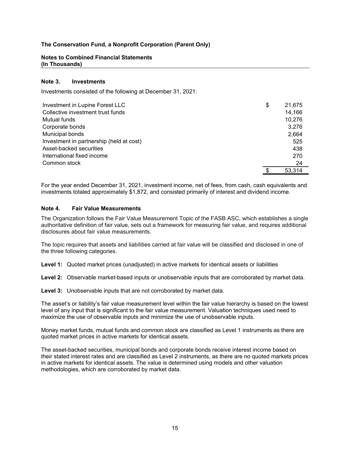#### **Notes to Combined Financial Statements (In Thousands)**

#### **Note 3. Investments**

Investments consisted of the following at December 31, 2021:

| Investment in Lupine Forest LLC          | \$<br>21,675 |
|------------------------------------------|--------------|
| Collective investment trust funds        | 14,166       |
| Mutual funds                             | 10,276       |
| Corporate bonds                          | 3,276        |
| Municipal bonds                          | 2,664        |
| Investment in partnership (held at cost) | 525          |
| Asset-backed securities                  | 438          |
| International fixed income               | 270          |
| Common stock                             | 24           |
|                                          | 53.314       |

For the year ended December 31, 2021, investment income, net of fees, from cash, cash equivalents and investments totaled approximately \$1,872, and consisted primarily of interest and dividend income.

#### **Note 4. Fair Value Measurements**

The Organization follows the Fair Value Measurement Topic of the FASB ASC, which establishes a single authoritative definition of fair value, sets out a framework for measuring fair value, and requires additional disclosures about fair value measurements.

The topic requires that assets and liabilities carried at fair value will be classified and disclosed in one of the three following categories.

**Level 1:** Quoted market prices (unadjusted) in active markets for identical assets or liabilities

**Level 2:** Observable market-based inputs or unobservable inputs that are corroborated by market data.

**Level 3:** Unobservable inputs that are not corroborated by market data.

The asset's or liability's fair value measurement level within the fair value hierarchy is based on the lowest level of any input that is significant to the fair value measurement. Valuation techniques used need to maximize the use of observable inputs and minimize the use of unobservable inputs.

Money market funds, mutual funds and common stock are classified as Level 1 instruments as there are quoted market prices in active markets for identical assets.

The asset-backed securities, municipal bonds and corporate bonds receive interest income based on their stated interest rates and are classified as Level 2 instruments, as there are no quoted markets prices in active markets for identical assets. The value is determined using models and other valuation methodologies, which are corroborated by market data.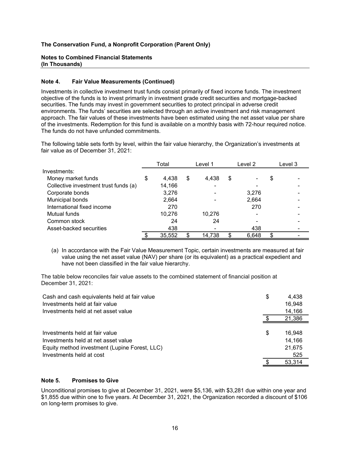#### **Notes to Combined Financial Statements (In Thousands)**

#### **Note 4. Fair Value Measurements (Continued)**

Investments in collective investment trust funds consist primarily of fixed income funds. The investment objective of the funds is to invest primarily in investment grade credit securities and mortgage-backed securities. The funds may invest in government securities to protect principal in adverse credit environments. The funds' securities are selected through an active investment and risk management approach. The fair values of these investments have been estimated using the net asset value per share of the investments. Redemption for this fund is available on a monthly basis with 72-hour required notice. The funds do not have unfunded commitments.

The following table sets forth by level, within the fair value hierarchy, the Organization's investments at fair value as of December 31, 2021:

|                                       | Total       | Level 1     | Level 2     | Level 3 |
|---------------------------------------|-------------|-------------|-------------|---------|
| Investments:                          |             |             |             |         |
| Money market funds                    | \$<br>4.438 | \$<br>4.438 | \$          | \$      |
| Collective investment trust funds (a) | 14,166      |             |             |         |
| Corporate bonds                       | 3,276       |             | 3,276       |         |
| Municipal bonds                       | 2,664       |             | 2,664       |         |
| International fixed income            | 270         |             | 270         |         |
| Mutual funds                          | 10,276      | 10.276      |             |         |
| Common stock                          | 24          | 24          |             |         |
| Asset-backed securities               | 438         |             | 438         |         |
|                                       | 35,552      | 14.738      | \$<br>6.648 | \$      |

(a) In accordance with the Fair Value Measurement Topic, certain investments are measured at fair value using the net asset value (NAV) per share (or its equivalent) as a practical expedient and have not been classified in the fair value hierarchy.

The table below reconciles fair value assets to the combined statement of financial position at December 31, 2021:

| Cash and cash equivalents held at fair value  | \$<br>4.438  |
|-----------------------------------------------|--------------|
| Investments held at fair value                | 16,948       |
| Investments held at net asset value           | 14,166       |
|                                               | 21,386       |
|                                               |              |
| Investments held at fair value                | \$<br>16.948 |
| Investments held at net asset value           | 14,166       |
| Equity method investment (Lupine Forest, LLC) | 21,675       |
| Investments held at cost                      | 525          |
|                                               | 53,314       |

#### **Note 5. Promises to Give**

Unconditional promises to give at December 31, 2021, were \$5,136, with \$3,281 due within one year and \$1,855 due within one to five years. At December 31, 2021, the Organization recorded a discount of \$106 on long-term promises to give.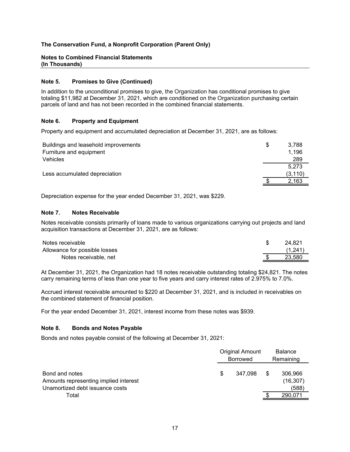#### **Notes to Combined Financial Statements (In Thousands)**

# **Note 5. Promises to Give (Continued)**

In addition to the unconditional promises to give, the Organization has conditional promises to give totaling \$11,982 at December 31, 2021, which are conditioned on the Organization purchasing certain parcels of land and has not been recorded in the combined financial statements.

#### **Note 6. Property and Equipment**

Property and equipment and accumulated depreciation at December 31, 2021, are as follows:

| Buildings and leasehold improvements | 3,788   |
|--------------------------------------|---------|
| Furniture and equipment              | 1.196   |
| <b>Vehicles</b>                      | 289     |
|                                      | 5.273   |
| Less accumulated depreciation        | (3,110) |
|                                      | 2,163   |

Depreciation expense for the year ended December 31, 2021, was \$229.

#### **Note 7. Notes Receivable**

Notes receivable consists primarily of loans made to various organizations carrying out projects and land acquisition transactions at December 31, 2021, are as follows:

| Notes receivable              | 24.821  |
|-------------------------------|---------|
| Allowance for possible losses | (1.241) |
| Notes receivable, net         | 23,580  |

At December 31, 2021, the Organization had 18 notes receivable outstanding totaling \$24,821. The notes carry remaining terms of less than one year to five years and carry interest rates of 2.975% to 7.0%.

Accrued interest receivable amounted to \$220 at December 31, 2021, and is included in receivables on the combined statement of financial position.

For the year ended December 31, 2021, interest income from these notes was \$939.

#### **Note 8. Bonds and Notes Payable**

Bonds and notes payable consist of the following at December 31, 2021:

|                                                                                            | <b>Original Amount</b><br><b>Borrowed</b> |         |     | <b>Balance</b><br>Remaining   |  |
|--------------------------------------------------------------------------------------------|-------------------------------------------|---------|-----|-------------------------------|--|
| Bond and notes<br>Amounts representing implied interest<br>Unamortized debt issuance costs | \$.                                       | 347.098 | \$. | 306.966<br>(16, 307)<br>(588) |  |
| Total                                                                                      |                                           |         |     | 290,071                       |  |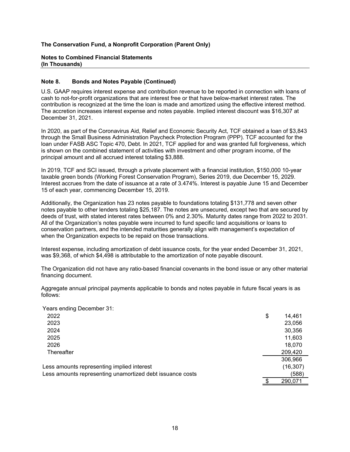#### **Notes to Combined Financial Statements (In Thousands)**

#### **Note 8. Bonds and Notes Payable (Continued)**

U.S. GAAP requires interest expense and contribution revenue to be reported in connection with loans of cash to not-for-profit organizations that are interest free or that have below-market interest rates. The contribution is recognized at the time the loan is made and amortized using the effective interest method. The accretion increases interest expense and notes payable. Implied interest discount was \$16,307 at December 31, 2021.

In 2020, as part of the Coronavirus Aid, Relief and Economic Security Act, TCF obtained a loan of \$3,843 through the Small Business Administration Paycheck Protection Program (PPP). TCF accounted for the loan under FASB ASC Topic 470, Debt. In 2021, TCF applied for and was granted full forgiveness, which is shown on the combined statement of activities with investment and other program income, of the principal amount and all accrued interest totaling \$3,888.

In 2019, TCF and SCI issued, through a private placement with a financial institution, \$150,000 10-year taxable green bonds (Working Forest Conservation Program), Series 2019, due December 15, 2029. Interest accrues from the date of issuance at a rate of 3.474%. Interest is payable June 15 and December 15 of each year, commencing December 15, 2019.

Additionally, the Organization has 23 notes payable to foundations totaling \$131,778 and seven other notes payable to other lenders totaling \$25,187. The notes are unsecured, except two that are secured by deeds of trust, with stated interest rates between 0% and 2.30%. Maturity dates range from 2022 to 2031. All of the Organization's notes payable were incurred to fund specific land acquisitions or loans to conservation partners, and the intended maturities generally align with management's expectation of when the Organization expects to be repaid on those transactions.

Interest expense, including amortization of debt issuance costs, for the year ended December 31, 2021, was \$9,368, of which \$4,498 is attributable to the amortization of note payable discount.

The Organization did not have any ratio-based financial covenants in the bond issue or any other material financing document.

Aggregate annual principal payments applicable to bonds and notes payable in future fiscal years is as follows:

| Years ending December 31:                                 |    |           |
|-----------------------------------------------------------|----|-----------|
| 2022                                                      | \$ | 14.461    |
| 2023                                                      |    | 23,056    |
| 2024                                                      |    | 30,356    |
| 2025                                                      |    | 11,603    |
| 2026                                                      |    | 18,070    |
| Thereafter                                                |    | 209,420   |
|                                                           |    | 306,966   |
| Less amounts representing implied interest                |    | (16, 307) |
| Less amounts representing unamortized debt issuance costs |    | (588)     |
|                                                           | S  | 290.071   |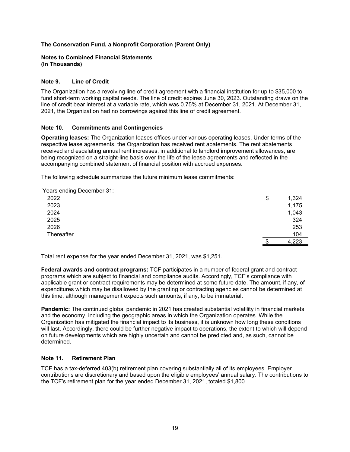#### **Notes to Combined Financial Statements (In Thousands)**

#### **Note 9. Line of Credit**

The Organization has a revolving line of credit agreement with a financial institution for up to \$35,000 to fund short-term working capital needs. The line of credit expires June 30, 2023. Outstanding draws on the line of credit bear interest at a variable rate, which was 0.75% at December 31, 2021. At December 31, 2021, the Organization had no borrowings against this line of credit agreement.

#### **Note 10. Commitments and Contingencies**

**Operating leases:** The Organization leases offices under various operating leases. Under terms of the respective lease agreements, the Organization has received rent abatements. The rent abatements received and escalating annual rent increases, in additional to landlord improvement allowances, are being recognized on a straight-line basis over the life of the lease agreements and reflected in the accompanying combined statement of financial position with accrued expenses.

The following schedule summarizes the future minimum lease commitments:

| Years ending December 31: |             |
|---------------------------|-------------|
| 2022                      | \$<br>1,324 |
| 2023                      | 1,175       |
| 2024                      | 1,043       |
| 2025                      | 324         |
| 2026                      | 253         |
| Thereafter                | 104         |
|                           | 4,223       |

Total rent expense for the year ended December 31, 2021, was \$1,251.

**Federal awards and contract programs:** TCF participates in a number of federal grant and contract programs which are subject to financial and compliance audits. Accordingly, TCF's compliance with applicable grant or contract requirements may be determined at some future date. The amount, if any, of expenditures which may be disallowed by the granting or contracting agencies cannot be determined at this time, although management expects such amounts, if any, to be immaterial.

**Pandemic:** The continued global pandemic in 2021 has created substantial volatility in financial markets and the economy, including the geographic areas in which the Organization operates. While the Organization has mitigated the financial impact to its business, it is unknown how long these conditions will last. Accordingly, there could be further negative impact to operations, the extent to which will depend on future developments which are highly uncertain and cannot be predicted and, as such, cannot be determined.

# **Note 11. Retirement Plan**

TCF has a tax-deferred 403(b) retirement plan covering substantially all of its employees. Employer contributions are discretionary and based upon the eligible employees' annual salary. The contributions to the TCF's retirement plan for the year ended December 31, 2021, totaled \$1,800.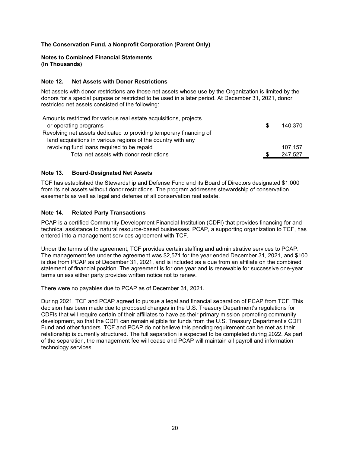#### **Notes to Combined Financial Statements (In Thousands)**

#### **Note 12. Net Assets with Donor Restrictions**

Net assets with donor restrictions are those net assets whose use by the Organization is limited by the donors for a special purpose or restricted to be used in a later period. At December 31, 2021, donor restricted net assets consisted of the following:

| Total net assets with donor restrictions                           | 247.527 |
|--------------------------------------------------------------------|---------|
| revolving fund loans required to be repaid                         | 107.157 |
| land acquisitions in various regions of the country with any       |         |
| Revolving net assets dedicated to providing temporary financing of |         |
| or operating programs                                              | 140.370 |
| Amounts restricted for various real estate acquisitions, projects  |         |

# **Note 13. Board-Designated Net Assets**

TCF has established the Stewardship and Defense Fund and its Board of Directors designated \$1,000 from its net assets without donor restrictions. The program addresses stewardship of conservation easements as well as legal and defense of all conservation real estate.

# **Note 14. Related Party Transactions**

PCAP is a certified Community Development Financial Institution (CDFI) that provides financing for and technical assistance to natural resource-based businesses. PCAP, a supporting organization to TCF, has entered into a management services agreement with TCF.

Under the terms of the agreement, TCF provides certain staffing and administrative services to PCAP. The management fee under the agreement was \$2,571 for the year ended December 31, 2021, and \$100 is due from PCAP as of December 31, 2021, and is included as a due from an affiliate on the combined statement of financial position. The agreement is for one year and is renewable for successive one-year terms unless either party provides written notice not to renew.

There were no payables due to PCAP as of December 31, 2021.

During 2021, TCF and PCAP agreed to pursue a legal and financial separation of PCAP from TCF. This decision has been made due to proposed changes in the U.S. Treasury Department's regulations for CDFIs that will require certain of their affiliates to have as their primary mission promoting community development, so that the CDFI can remain eligible for funds from the U.S. Treasury Department's CDFI Fund and other funders. TCF and PCAP do not believe this pending requirement can be met as their relationship is currently structured. The full separation is expected to be completed during 2022. As part of the separation, the management fee will cease and PCAP will maintain all payroll and information technology services.